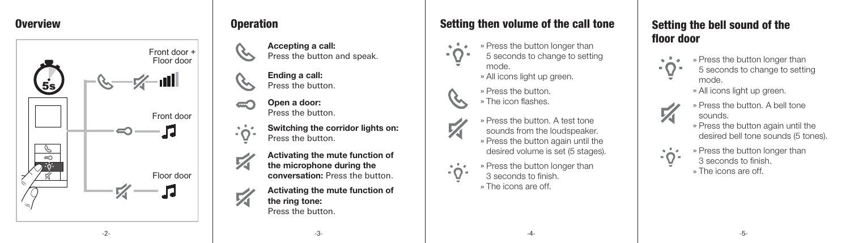

### Overview **Overview** Overview **Overview**

- Accepting a call: Press the button and speak.
- Ending a call: Press the button.
- Open a door: Press the button.
- Switching the corridor lights on: Press the button.
- Activating the mute function of the microphone during the conversation: Press the button.
- Activating the mute function of the ring tone: Press the button.

# Setting then volume of the call tone

- » Press the button longer than 5 seconds to change to setting mode. » All icons light up green.
	- » Press the button. » The icon flashes.



- » Press the button. A test tone
- sounds from the loudspeaker. » Press the button again until the desired volume is set (5 stages).
- 





Setting the bell sound of the floor door

> 5 seconds to change to setting mode.

> > » All icons light up green.

- » Press the button. A bell tone sounds.
- » Press the button again until the desired bell tone sounds (5 tones).
- » Press the button longer than 3 seconds to finish. » The icons are off.